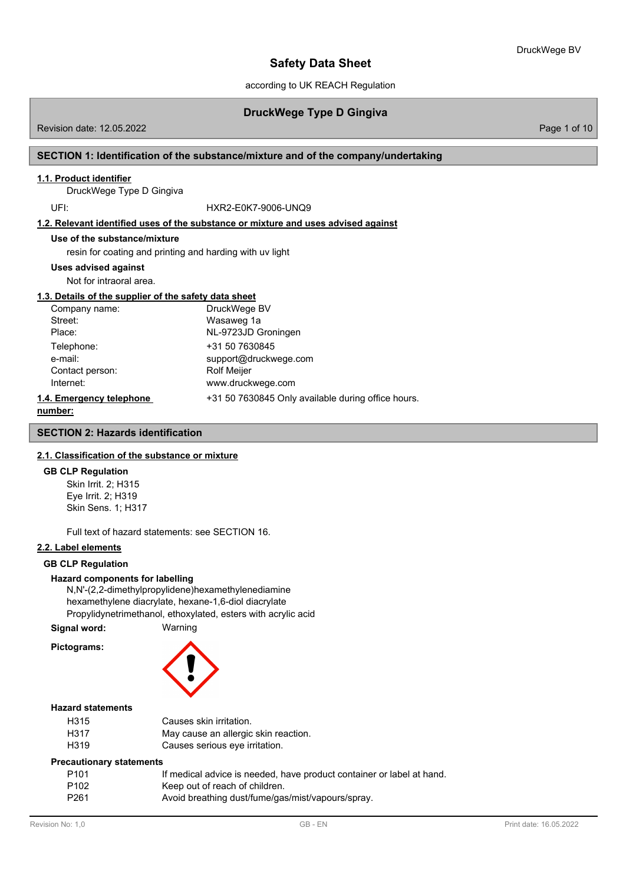according to UK REACH Regulation

# **DruckWege Type D Gingiva**

Revision date: 12.05.2022 Page 1 of 10

## **SECTION 1: Identification of the substance/mixture and of the company/undertaking**

### **1.1. Product identifier**

DruckWege Type D Gingiva

UFI: HXR2-E0K7-9006-UNQ9

**1.2. Relevant identified uses of the substance or mixture and uses advised against**

## **Use of the substance/mixture**

resin for coating and printing and harding with uv light

### **Uses advised against**

Not for intraoral area.

## **1.3. Details of the supplier of the safety data sheet**

| Company name:            | DruckWege BV                                       |
|--------------------------|----------------------------------------------------|
| Street:                  | Wasaweg 1a                                         |
| Place:                   | NL-9723JD Groningen                                |
| Telephone:               | +31 50 7630845                                     |
| e-mail:                  | support@druckwege.com                              |
| Contact person:          | <b>Rolf Meijer</b>                                 |
| Internet:                | www.druckwege.com                                  |
| 1.4. Emergency telephone | +31 50 7630845 Only available during office hours. |
|                          |                                                    |

## **number:**

## **SECTION 2: Hazards identification**

### **2.1. Classification of the substance or mixture**

#### **GB CLP Regulation**

Skin Irrit. 2; H315 Eye Irrit. 2; H319 Skin Sens. 1; H317

Full text of hazard statements: see SECTION 16.

### **2.2. Label elements**

### **GB CLP Regulation**

### **Hazard components for labelling**

N,N'-(2,2-dimethylpropylidene)hexamethylenediamine hexamethylene diacrylate, hexane-1,6-diol diacrylate Propylidynetrimethanol, ethoxylated, esters with acrylic acid

**Signal word:** Warning

### **Pictograms:**



# **Hazard statements**

| H315 | Causes skin irritation.              |
|------|--------------------------------------|
| H317 | May cause an allergic skin reaction. |
| H319 | Causes serious eye irritation.       |

#### **Precautionary statements**

| P101             | If medical advice is needed, have product container or label at hand. |
|------------------|-----------------------------------------------------------------------|
| P <sub>102</sub> | Keep out of reach of children.                                        |
| P <sub>261</sub> | Avoid breathing dust/fume/gas/mist/vapours/spray.                     |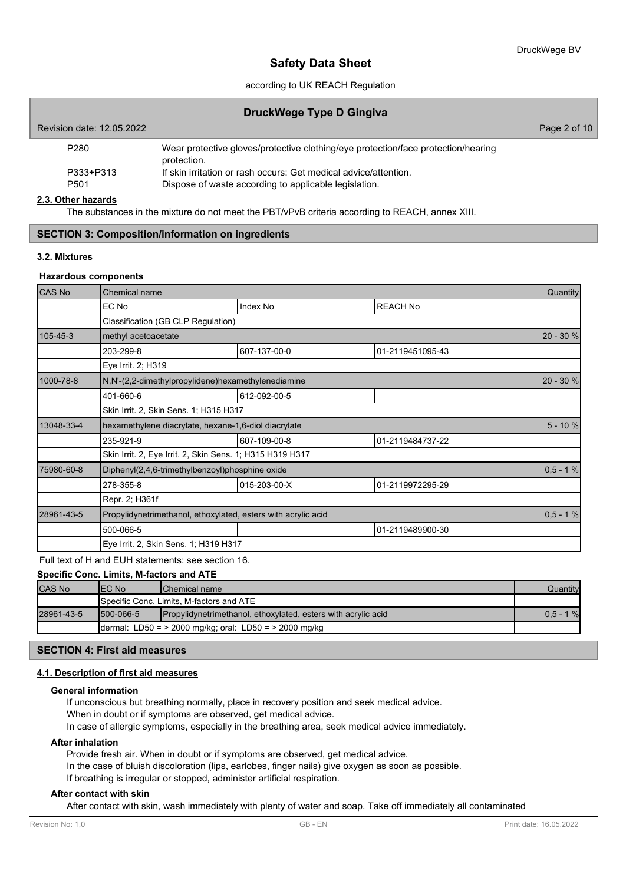## according to UK REACH Regulation

## **DruckWege Type D Gingiva**

| Revision date: 12.05.2022     |                                                                                                                           | Page 2 of 10 |
|-------------------------------|---------------------------------------------------------------------------------------------------------------------------|--------------|
| P280                          | Wear protective gloves/protective clothing/eye protection/face protection/hearing<br>protection.                          |              |
| P333+P313<br>P <sub>501</sub> | If skin irritation or rash occurs: Get medical advice/attention.<br>Dispose of waste according to applicable legislation. |              |

### **2.3. Other hazards**

The substances in the mixture do not meet the PBT/vPvB criteria according to REACH, annex XIII.

## **SECTION 3: Composition/information on ingredients**

### **3.2. Mixtures**

### **Hazardous components**

| <b>CAS No</b> | Chemical name                                                 |              |                  | Quantity   |
|---------------|---------------------------------------------------------------|--------------|------------------|------------|
|               | EC No                                                         | Index No     | <b>REACH No</b>  |            |
|               | Classification (GB CLP Regulation)                            |              |                  |            |
| 105-45-3      | methyl acetoacetate                                           |              |                  | 20 - 30 %  |
|               | 203-299-8                                                     | 607-137-00-0 | 01-2119451095-43 |            |
|               | Eye Irrit. 2; H319                                            |              |                  |            |
| 1000-78-8     | N,N'-(2,2-dimethylpropylidene)hexamethylenediamine            |              |                  | 20 - 30 %  |
|               | 401-660-6                                                     | 612-092-00-5 |                  |            |
|               | Skin Irrit. 2, Skin Sens. 1; H315 H317                        |              |                  |            |
| 13048-33-4    | hexamethylene diacrylate, hexane-1,6-diol diacrylate          |              |                  | $5 - 10%$  |
|               | 235-921-9                                                     | 607-109-00-8 | 01-2119484737-22 |            |
|               | Skin Irrit. 2, Eye Irrit. 2, Skin Sens. 1; H315 H319 H317     |              |                  |            |
| 75980-60-8    | Diphenyl(2,4,6-trimethylbenzoyl)phosphine oxide               |              |                  | $0,5 - 1%$ |
|               | 278-355-8                                                     | 015-203-00-X | 01-2119972295-29 |            |
|               | Repr. 2; H361f                                                |              |                  |            |
| 28961-43-5    | Propylidynetrimethanol, ethoxylated, esters with acrylic acid |              |                  | $0,5 - 1%$ |
|               | 500-066-5                                                     |              | 01-2119489900-30 |            |
|               | Eye Irrit. 2, Skin Sens. 1; H319 H317                         |              |                  |            |

Full text of H and EUH statements: see section 16.

## **Specific Conc. Limits, M-factors and ATE**

| <b>CAS No</b> | IEC No                                                     | <b>IChemical name</b>                                                | Quantityl    |
|---------------|------------------------------------------------------------|----------------------------------------------------------------------|--------------|
|               |                                                            | <b>I</b> Specific Conc. Limits. M-factors and ATE                    |              |
| 28961-43-5    | 1500-066-5                                                 | <b>Propylidynetrimethanol, ethoxylated, esters with acrylic acid</b> | $0.5 - 1 \%$ |
|               | dermal: LD50 = $>$ 2000 mg/kg; oral: LD50 = $>$ 2000 mg/kg |                                                                      |              |

## **SECTION 4: First aid measures**

## **4.1. Description of first aid measures**

### **General information**

If unconscious but breathing normally, place in recovery position and seek medical advice. When in doubt or if symptoms are observed, get medical advice.

In case of allergic symptoms, especially in the breathing area, seek medical advice immediately.

### **After inhalation**

Provide fresh air. When in doubt or if symptoms are observed, get medical advice. In the case of bluish discoloration (lips, earlobes, finger nails) give oxygen as soon as possible. If breathing is irregular or stopped, administer artificial respiration.

### **After contact with skin**

After contact with skin, wash immediately with plenty of water and soap. Take off immediately all contaminated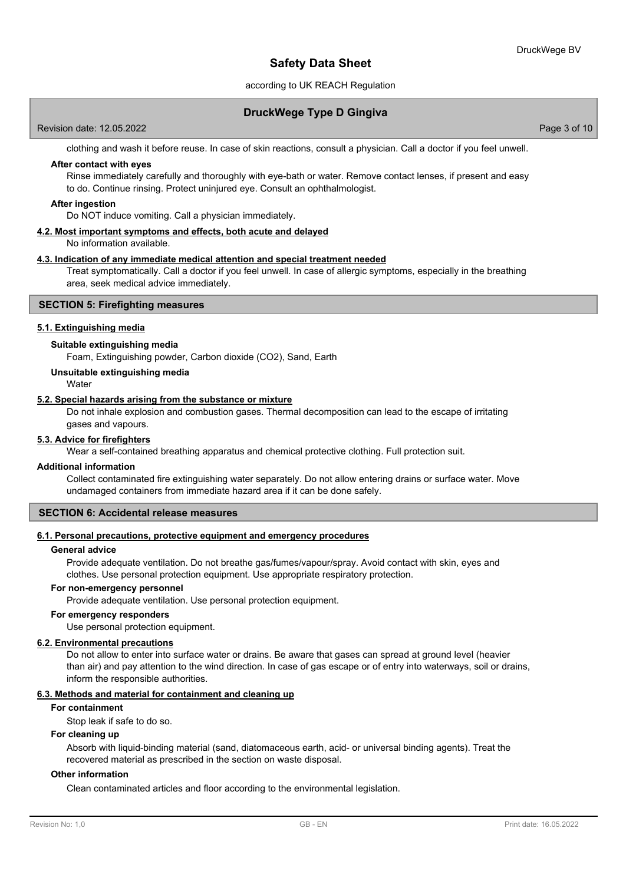## according to UK REACH Regulation

## **DruckWege Type D Gingiva**

Revision date: 12.05.2022 Page 3 of 10

clothing and wash it before reuse. In case of skin reactions, consult a physician. Call a doctor if you feel unwell.

### **After contact with eyes**

Rinse immediately carefully and thoroughly with eye-bath or water. Remove contact lenses, if present and easy to do. Continue rinsing. Protect uninjured eye. Consult an ophthalmologist.

### **After ingestion**

Do NOT induce vomiting. Call a physician immediately.

### **4.2. Most important symptoms and effects, both acute and delayed**

No information available.

### **4.3. Indication of any immediate medical attention and special treatment needed**

Treat symptomatically. Call a doctor if you feel unwell. In case of allergic symptoms, especially in the breathing area, seek medical advice immediately.

## **SECTION 5: Firefighting measures**

### **5.1. Extinguishing media**

### **Suitable extinguishing media**

Foam, Extinguishing powder, Carbon dioxide (CO2), Sand, Earth

### **Unsuitable extinguishing media**

**Water** 

### **5.2. Special hazards arising from the substance or mixture**

Do not inhale explosion and combustion gases. Thermal decomposition can lead to the escape of irritating gases and vapours.

## **5.3. Advice for firefighters**

Wear a self-contained breathing apparatus and chemical protective clothing. Full protection suit.

### **Additional information**

Collect contaminated fire extinguishing water separately. Do not allow entering drains or surface water. Move undamaged containers from immediate hazard area if it can be done safely.

#### **SECTION 6: Accidental release measures**

#### **6.1. Personal precautions, protective equipment and emergency procedures**

## **General advice**

Provide adequate ventilation. Do not breathe gas/fumes/vapour/spray. Avoid contact with skin, eyes and clothes. Use personal protection equipment. Use appropriate respiratory protection.

### **For non-emergency personnel**

Provide adequate ventilation. Use personal protection equipment.

### **For emergency responders**

Use personal protection equipment.

### **6.2. Environmental precautions**

Do not allow to enter into surface water or drains. Be aware that gases can spread at ground level (heavier than air) and pay attention to the wind direction. In case of gas escape or of entry into waterways, soil or drains, inform the responsible authorities.

## **6.3. Methods and material for containment and cleaning up**

## **For containment**

Stop leak if safe to do so.

### **For cleaning up**

Absorb with liquid-binding material (sand, diatomaceous earth, acid- or universal binding agents). Treat the recovered material as prescribed in the section on waste disposal.

### **Other information**

Clean contaminated articles and floor according to the environmental legislation.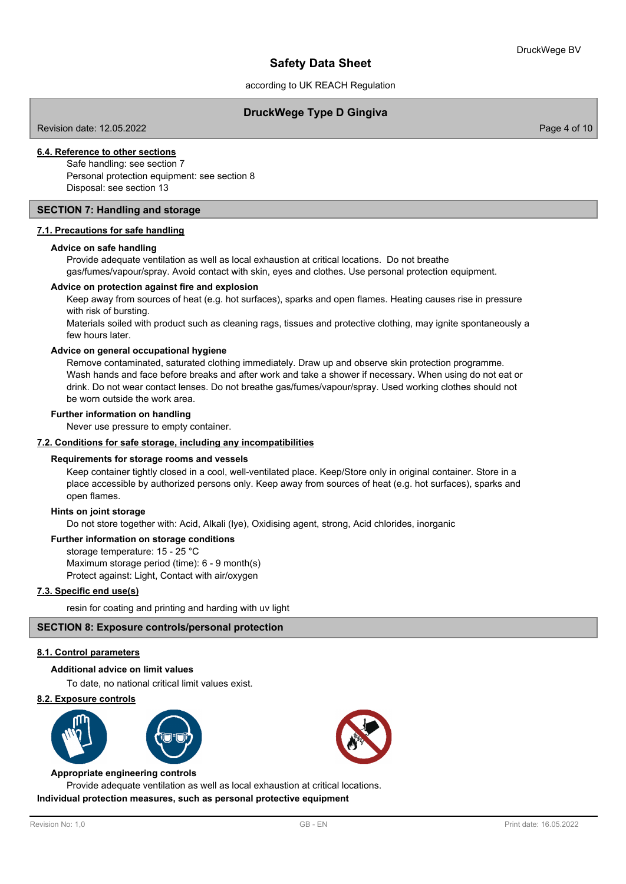according to UK REACH Regulation

## **DruckWege Type D Gingiva**

Revision date: 12.05.2022 Page 4 of 10

## **6.4. Reference to other sections**

Safe handling: see section 7 Personal protection equipment: see section 8 Disposal: see section 13

### **SECTION 7: Handling and storage**

### **7.1. Precautions for safe handling**

### **Advice on safe handling**

Provide adequate ventilation as well as local exhaustion at critical locations. Do not breathe gas/fumes/vapour/spray. Avoid contact with skin, eyes and clothes. Use personal protection equipment.

### **Advice on protection against fire and explosion**

Keep away from sources of heat (e.g. hot surfaces), sparks and open flames. Heating causes rise in pressure with risk of bursting.

Materials soiled with product such as cleaning rags, tissues and protective clothing, may ignite spontaneously a few hours later.

### **Advice on general occupational hygiene**

Remove contaminated, saturated clothing immediately. Draw up and observe skin protection programme. Wash hands and face before breaks and after work and take a shower if necessary. When using do not eat or drink. Do not wear contact lenses. Do not breathe gas/fumes/vapour/spray. Used working clothes should not be worn outside the work area.

### **Further information on handling**

Never use pressure to empty container.

### **7.2. Conditions for safe storage, including any incompatibilities**

### **Requirements for storage rooms and vessels**

Keep container tightly closed in a cool, well-ventilated place. Keep/Store only in original container. Store in a place accessible by authorized persons only. Keep away from sources of heat (e.g. hot surfaces), sparks and open flames.

### **Hints on joint storage**

Do not store together with: Acid, Alkali (lye), Oxidising agent, strong, Acid chlorides, inorganic

## **Further information on storage conditions**

storage temperature: 15 - 25 °C Maximum storage period (time): 6 - 9 month(s) Protect against: Light, Contact with air/oxygen

### **7.3. Specific end use(s)**

resin for coating and printing and harding with uv light

### **SECTION 8: Exposure controls/personal protection**

## **8.1. Control parameters**

### **Additional advice on limit values**

To date, no national critical limit values exist.

### **8.2. Exposure controls**



#### **Appropriate engineering controls**

Provide adequate ventilation as well as local exhaustion at critical locations. **Individual protection measures, such as personal protective equipment**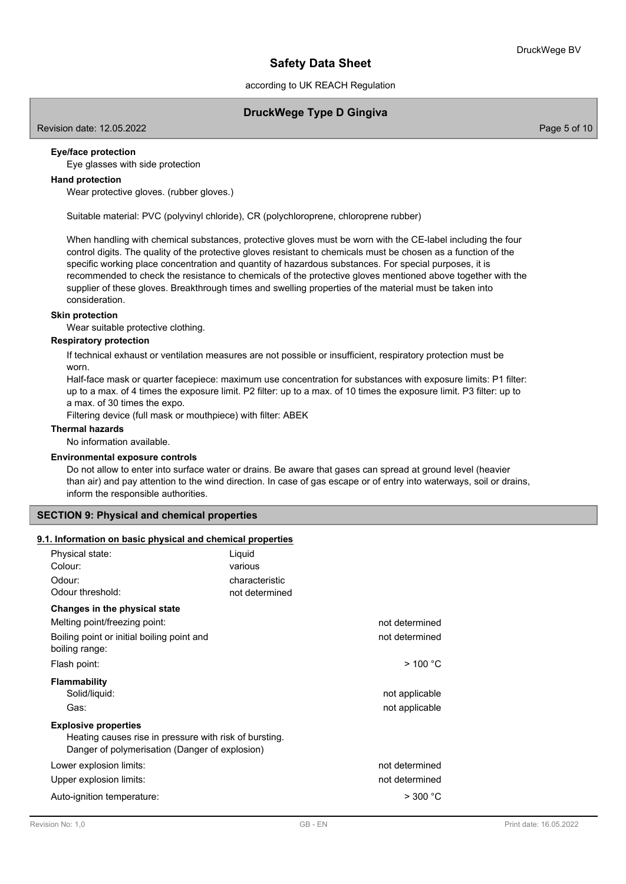according to UK REACH Regulation

## **DruckWege Type D Gingiva**

Revision date: 12.05.2022 Page 5 of 10

## **Eye/face protection**

Eye glasses with side protection

## **Hand protection**

Wear protective gloves. (rubber gloves.)

Suitable material: PVC (polyvinyl chloride), CR (polychloroprene, chloroprene rubber)

When handling with chemical substances, protective gloves must be worn with the CE-label including the four control digits. The quality of the protective gloves resistant to chemicals must be chosen as a function of the specific working place concentration and quantity of hazardous substances. For special purposes, it is recommended to check the resistance to chemicals of the protective gloves mentioned above together with the supplier of these gloves. Breakthrough times and swelling properties of the material must be taken into consideration.

### **Skin protection**

Wear suitable protective clothing.

## **Respiratory protection**

If technical exhaust or ventilation measures are not possible or insufficient, respiratory protection must be worn.

Half-face mask or quarter facepiece: maximum use concentration for substances with exposure limits: P1 filter: up to a max. of 4 times the exposure limit. P2 filter: up to a max. of 10 times the exposure limit. P3 filter: up to a max. of 30 times the expo.

Filtering device (full mask or mouthpiece) with filter: ABEK

### **Thermal hazards**

No information available.

### **Environmental exposure controls**

Do not allow to enter into surface water or drains. Be aware that gases can spread at ground level (heavier than air) and pay attention to the wind direction. In case of gas escape or of entry into waterways, soil or drains, inform the responsible authorities.

## **SECTION 9: Physical and chemical properties**

## **9.1. Information on basic physical and chemical properties**

| Physical state:                                        | Liquid         |                |
|--------------------------------------------------------|----------------|----------------|
| Colour:                                                | various        |                |
| Odour:                                                 | characteristic |                |
| Odour threshold:                                       | not determined |                |
| Changes in the physical state                          |                |                |
| Melting point/freezing point:                          |                | not determined |
| Boiling point or initial boiling point and             |                | not determined |
| boiling range:                                         |                |                |
| Flash point:                                           |                | $>$ 100 °C     |
| Flammability                                           |                |                |
| Solid/liquid:                                          |                | not applicable |
| Gas:                                                   |                | not applicable |
| <b>Explosive properties</b>                            |                |                |
| Heating causes rise in pressure with risk of bursting. |                |                |
| Danger of polymerisation (Danger of explosion)         |                |                |
| Lower explosion limits:                                |                | not determined |
| Upper explosion limits:                                |                | not determined |
| Auto-ignition temperature:                             |                | >300 °C        |
|                                                        |                |                |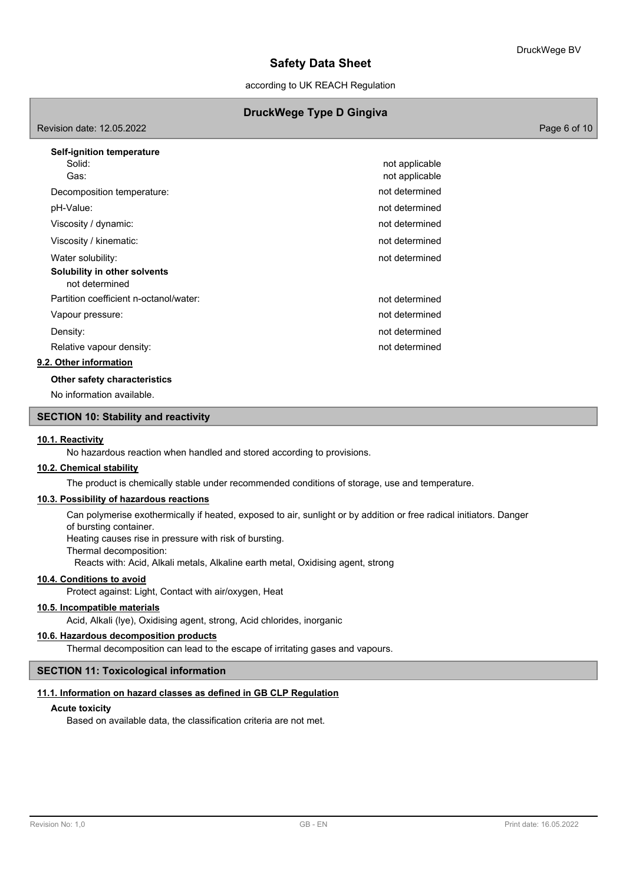according to UK REACH Regulation

## **DruckWege Type D Gingiva**

Revision date: 12.05.2022 Page 6 of 10

| Self-ignition temperature                      |                |
|------------------------------------------------|----------------|
| Solid:                                         | not applicable |
| Gas:                                           | not applicable |
| Decomposition temperature:                     | not determined |
| pH-Value:                                      | not determined |
| Viscosity / dynamic:                           | not determined |
| Viscosity / kinematic:                         | not determined |
| Water solubility:                              | not determined |
| Solubility in other solvents<br>not determined |                |
| Partition coefficient n-octanol/water:         | not determined |
| Vapour pressure:                               | not determined |
| Density:                                       | not determined |
| Relative vapour density:                       | not determined |
| 9.2. Other information                         |                |
|                                                |                |

**Other safety characteristics**

No information available.

## **SECTION 10: Stability and reactivity**

### **10.1. Reactivity**

No hazardous reaction when handled and stored according to provisions.

## **10.2. Chemical stability**

The product is chemically stable under recommended conditions of storage, use and temperature.

## **10.3. Possibility of hazardous reactions**

Can polymerise exothermically if heated, exposed to air, sunlight or by addition or free radical initiators. Danger of bursting container.

Heating causes rise in pressure with risk of bursting.

Thermal decomposition:

Reacts with: Acid, Alkali metals, Alkaline earth metal, Oxidising agent, strong

## **10.4. Conditions to avoid**

Protect against: Light, Contact with air/oxygen, Heat

## **10.5. Incompatible materials**

Acid, Alkali (lye), Oxidising agent, strong, Acid chlorides, inorganic

### **10.6. Hazardous decomposition products**

Thermal decomposition can lead to the escape of irritating gases and vapours.

## **SECTION 11: Toxicological information**

### **11.1. Information on hazard classes as defined in GB CLP Regulation**

### **Acute toxicity**

Based on available data, the classification criteria are not met.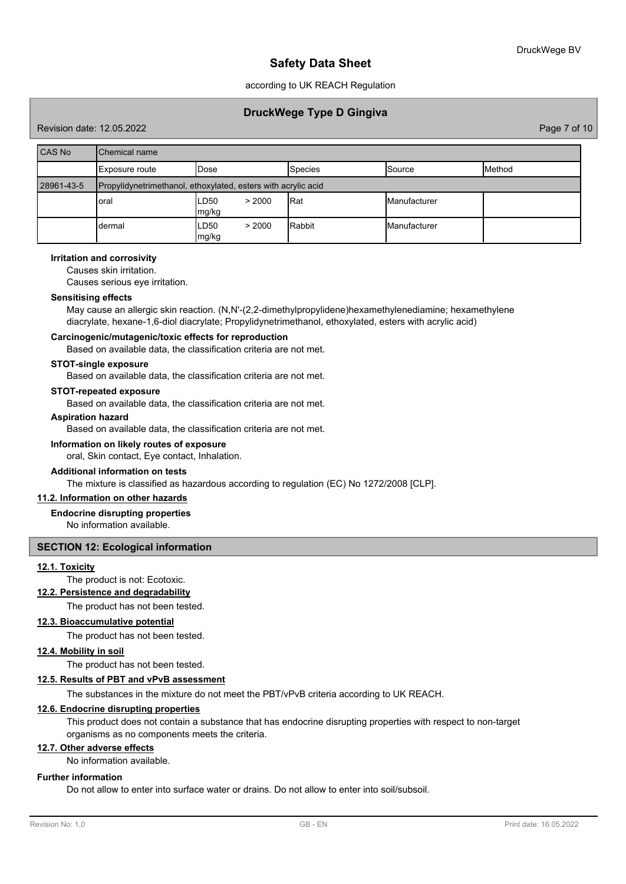according to UK REACH Regulation

## **DruckWege Type D Gingiva**

Revision date: 12.05.2022 Page 7 of 10

| CAS No     | Chemical name                                                 |                         |            |                     |               |
|------------|---------------------------------------------------------------|-------------------------|------------|---------------------|---------------|
|            | Exposure route                                                | Dose                    | Species    | Source              | <b>Method</b> |
| 28961-43-5 | Propylidynetrimethanol, ethoxylated, esters with acrylic acid |                         |            |                     |               |
|            | oral                                                          | LD50<br>> 2000<br>mg/kg | <b>Rat</b> | <b>Manufacturer</b> |               |
|            | dermal                                                        | LD50<br>> 2000<br>mg/kg | Rabbit     | <b>Manufacturer</b> |               |

### **Irritation and corrosivity**

Causes skin irritation.

Causes serious eye irritation.

### **Sensitising effects**

May cause an allergic skin reaction. (N,N'-(2,2-dimethylpropylidene)hexamethylenediamine; hexamethylene diacrylate, hexane-1,6-diol diacrylate; Propylidynetrimethanol, ethoxylated, esters with acrylic acid)

## **Carcinogenic/mutagenic/toxic effects for reproduction**

Based on available data, the classification criteria are not met.

#### **STOT-single exposure**

Based on available data, the classification criteria are not met.

## **STOT-repeated exposure**

Based on available data, the classification criteria are not met.

## **Aspiration hazard**

Based on available data, the classification criteria are not met.

### **Information on likely routes of exposure**

oral, Skin contact, Eye contact, Inhalation.

## **Additional information on tests**

The mixture is classified as hazardous according to regulation (EC) No 1272/2008 [CLP].

### **11.2. Information on other hazards**

**Endocrine disrupting properties**

No information available.

### **SECTION 12: Ecological information**

## **12.1. Toxicity**

The product is not: Ecotoxic.

## **12.2. Persistence and degradability**

The product has not been tested.

## **12.3. Bioaccumulative potential**

The product has not been tested.

### **12.4. Mobility in soil**

The product has not been tested.

### **12.5. Results of PBT and vPvB assessment**

The substances in the mixture do not meet the PBT/vPvB criteria according to UK REACH.

## **12.6. Endocrine disrupting properties**

This product does not contain a substance that has endocrine disrupting properties with respect to non-target organisms as no components meets the criteria.

### **12.7. Other adverse effects**

No information available.

## **Further information**

Do not allow to enter into surface water or drains. Do not allow to enter into soil/subsoil.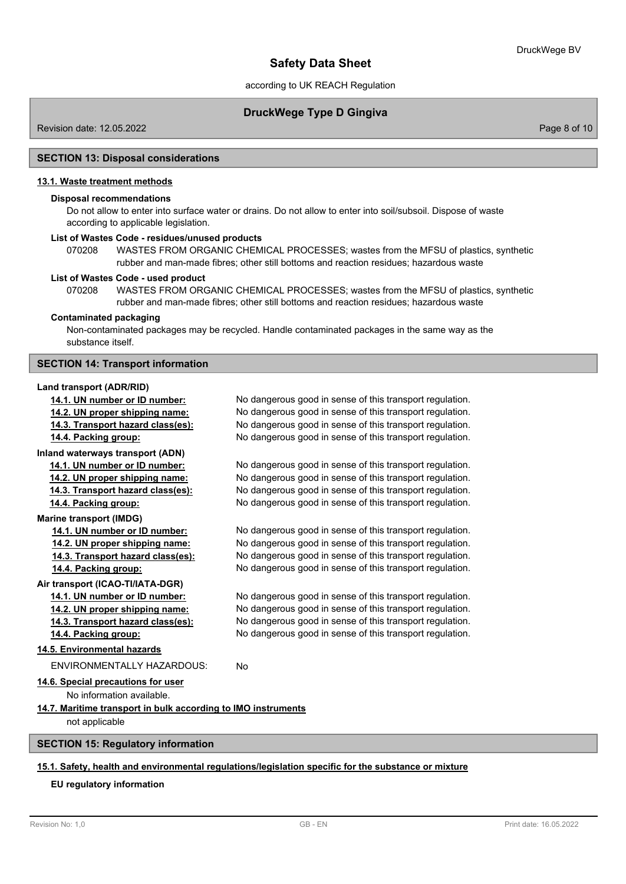according to UK REACH Regulation

## **DruckWege Type D Gingiva**

Revision date: 12.05.2022 Page 8 of 10

### **SECTION 13: Disposal considerations**

### **13.1. Waste treatment methods**

## **Disposal recommendations**

Do not allow to enter into surface water or drains. Do not allow to enter into soil/subsoil. Dispose of waste according to applicable legislation.

### **List of Wastes Code - residues/unused products**

070208 WASTES FROM ORGANIC CHEMICAL PROCESSES; wastes from the MFSU of plastics, synthetic rubber and man-made fibres; other still bottoms and reaction residues; hazardous waste

## **List of Wastes Code - used product**

WASTES FROM ORGANIC CHEMICAL PROCESSES; wastes from the MFSU of plastics, synthetic rubber and man-made fibres; other still bottoms and reaction residues; hazardous waste 070208

### **Contaminated packaging**

Non-contaminated packages may be recycled. Handle contaminated packages in the same way as the substance itself.

### **SECTION 14: Transport information**

#### **Land transport (ADR/RID)**

**14.1. UN number or ID number:** No dangerous good in sense of this transport regulation. **14.2. UN proper shipping name:** No dangerous good in sense of this transport regulation. **14.3. Transport hazard class(es):** No dangerous good in sense of this transport regulation. **14.4. Packing group:** No dangerous good in sense of this transport regulation. **Inland waterways transport (ADN) 14.1. UN number or ID number:** No dangerous good in sense of this transport regulation. **14.2. UN proper shipping name:** No dangerous good in sense of this transport regulation. **14.3. Transport hazard class(es):** No dangerous good in sense of this transport regulation. **14.4. Packing group:** No dangerous good in sense of this transport regulation. **Marine transport (IMDG) 14.1. UN number or ID number:** No dangerous good in sense of this transport regulation. **14.2. UN proper shipping name:** No dangerous good in sense of this transport regulation. **14.3. Transport hazard class(es):** No dangerous good in sense of this transport regulation. **14.4. Packing group:** No dangerous good in sense of this transport regulation. **Air transport (ICAO-TI/IATA-DGR) 14.1. UN number or ID number:** No dangerous good in sense of this transport regulation. **14.2. UN proper shipping name:** No dangerous good in sense of this transport regulation. **14.3. Transport hazard class(es):** No dangerous good in sense of this transport regulation. **14.4. Packing group:** No dangerous good in sense of this transport regulation. **14.5. Environmental hazards** ENVIRONMENTALLY HAZARDOUS: No **14.6. Special precautions for user** No information available. **14.7. Maritime transport in bulk according to IMO instruments** not applicable

## **SECTION 15: Regulatory information**

## **15.1. Safety, health and environmental regulations/legislation specific for the substance or mixture**

### **EU regulatory information**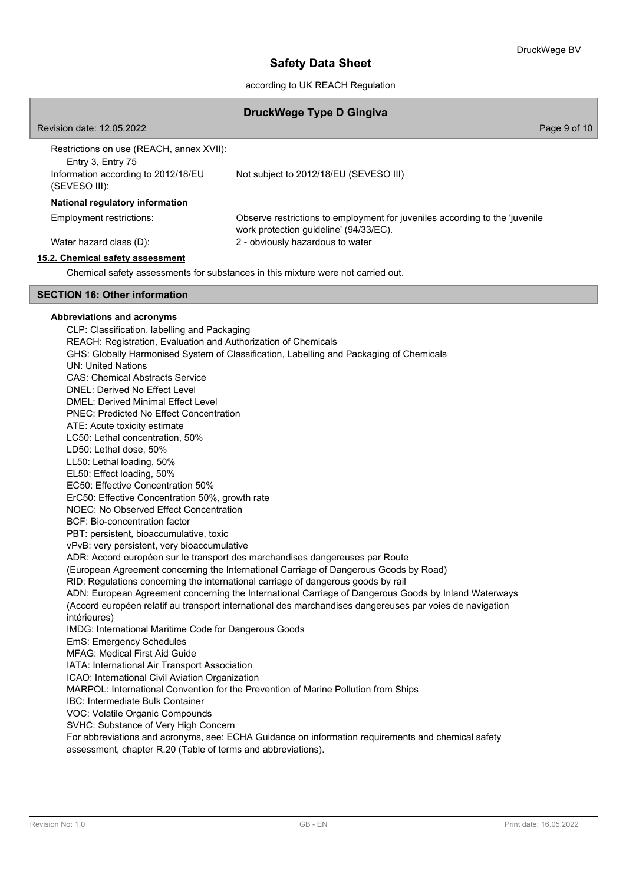according to UK REACH Regulation

## **DruckWege Type D Gingiva**

| Revision date: 12.05.2022                                                                                             | Page 9 of 10                                                                                                          |
|-----------------------------------------------------------------------------------------------------------------------|-----------------------------------------------------------------------------------------------------------------------|
| Restrictions on use (REACH, annex XVII):<br>Entry 3, Entry 75<br>Information according to 2012/18/EU<br>(SEVESO III): | Not subject to 2012/18/EU (SEVESO III)                                                                                |
| National regulatory information                                                                                       |                                                                                                                       |
| Employment restrictions:                                                                                              | Observe restrictions to employment for juveniles according to the 'juvenile<br>work protection guideline' (94/33/EC). |
| Water hazard class (D):                                                                                               | 2 - obviously hazardous to water                                                                                      |
| 15.2. Chemical safety assessment                                                                                      |                                                                                                                       |
|                                                                                                                       | Chemical safety assessments for substances in this mixture were not carried out.                                      |
| <b>SECTION 16: Other information</b>                                                                                  |                                                                                                                       |
| Abbreviations and acronyms                                                                                            |                                                                                                                       |
| CLP: Classification, labelling and Packaging                                                                          |                                                                                                                       |
| REACH: Registration, Evaluation and Authorization of Chemicals                                                        |                                                                                                                       |

DMEL: Derived Minimal Effect Level PNEC: Predicted No Effect Concentration ATE: Acute toxicity estimate LC50: Lethal concentration, 50% LD50: Lethal dose, 50% LL50: Lethal loading, 50% EL50: Effect loading, 50% EC50: Effective Concentration 50% ErC50: Effective Concentration 50%, growth rate NOEC: No Observed Effect Concentration BCF: Bio-concentration factor PBT: persistent, bioaccumulative, toxic vPvB: very persistent, very bioaccumulative

ADR: Accord européen sur le transport des marchandises dangereuses par Route

(European Agreement concerning the International Carriage of Dangerous Goods by Road)

GHS: Globally Harmonised System of Classification, Labelling and Packaging of Chemicals

RID: Regulations concerning the international carriage of dangerous goods by rail

ADN: European Agreement concerning the International Carriage of Dangerous Goods by Inland Waterways (Accord européen relatif au transport international des marchandises dangereuses par voies de navigation intérieures)

IMDG: International Maritime Code for Dangerous Goods

EmS: Emergency Schedules

UN: United Nations

CAS: Chemical Abstracts Service DNEL: Derived No Effect Level

MFAG: Medical First Aid Guide

IATA: International Air Transport Association

ICAO: International Civil Aviation Organization

MARPOL: International Convention for the Prevention of Marine Pollution from Ships

IBC: Intermediate Bulk Container

VOC: Volatile Organic Compounds

SVHC: Substance of Very High Concern

For abbreviations and acronyms, see: ECHA Guidance on information requirements and chemical safety assessment, chapter R.20 (Table of terms and abbreviations).